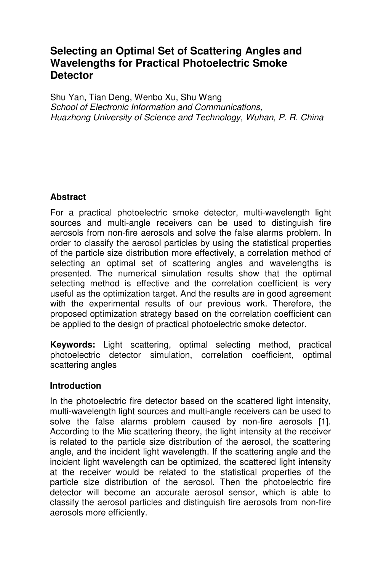## **Selecting an Optimal Set of Scattering Angles and Wavelengths for Practical Photoelectric Smoke Detector**

Shu Yan, Tian Deng, Wenbo Xu, Shu Wang School of Electronic Information and Communications, Huazhong University of Science and Technology, Wuhan, P. R. China

#### **Abstract**

For a practical photoelectric smoke detector, multi-wavelength light sources and multi-angle receivers can be used to distinguish fire aerosols from non-fire aerosols and solve the false alarms problem. In order to classify the aerosol particles by using the statistical properties of the particle size distribution more effectively, a correlation method of selecting an optimal set of scattering angles and wavelengths is presented. The numerical simulation results show that the optimal selecting method is effective and the correlation coefficient is very useful as the optimization target. And the results are in good agreement with the experimental results of our previous work. Therefore, the proposed optimization strategy based on the correlation coefficient can be applied to the design of practical photoelectric smoke detector.

**Keywords:** Light scattering, optimal selecting method, practical photoelectric detector simulation, correlation coefficient, optimal scattering angles

#### **Introduction**

In the photoelectric fire detector based on the scattered light intensity, multi-wavelength light sources and multi-angle receivers can be used to solve the false alarms problem caused by non-fire aerosols [1]. According to the Mie scattering theory, the light intensity at the receiver is related to the particle size distribution of the aerosol, the scattering angle, and the incident light wavelength. If the scattering angle and the incident light wavelength can be optimized, the scattered light intensity at the receiver would be related to the statistical properties of the particle size distribution of the aerosol. Then the photoelectric fire detector will become an accurate aerosol sensor, which is able to classify the aerosol particles and distinguish fire aerosols from non-fire aerosols more efficiently.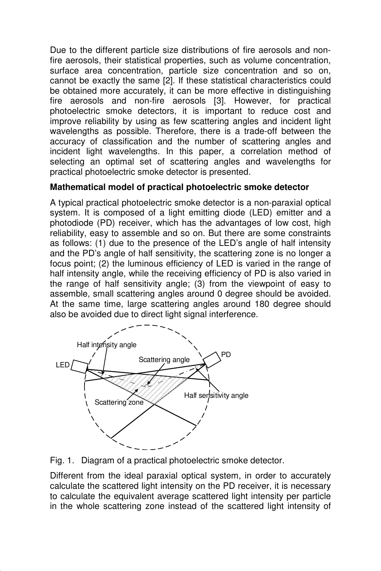Due to the different particle size distributions of fire aerosols and nonfire aerosols, their statistical properties, such as volume concentration, surface area concentration, particle size concentration and so on, cannot be exactly the same [2]. If these statistical characteristics could be obtained more accurately, it can be more effective in distinguishing fire aerosols and non-fire aerosols [3]. However, for practical photoelectric smoke detectors, it is important to reduce cost and improve reliability by using as few scattering angles and incident light wavelengths as possible. Therefore, there is a trade-off between the accuracy of classification and the number of scattering angles and incident light wavelengths. In this paper, a correlation method of selecting an optimal set of scattering angles and wavelengths for practical photoelectric smoke detector is presented.

### **Mathematical model of practical photoelectric smoke detector**

A typical practical photoelectric smoke detector is a non-paraxial optical system. It is composed of a light emitting diode (LED) emitter and a photodiode (PD) receiver, which has the advantages of low cost, high reliability, easy to assemble and so on. But there are some constraints as follows: (1) due to the presence of the LED's angle of half intensity and the PD's angle of half sensitivity, the scattering zone is no longer a focus point; (2) the luminous efficiency of LED is varied in the range of half intensity angle, while the receiving efficiency of PD is also varied in the range of half sensitivity angle; (3) from the viewpoint of easy to assemble, small scattering angles around 0 degree should be avoided. At the same time, large scattering angles around 180 degree should also be avoided due to direct light signal interference.





Different from the ideal paraxial optical system, in order to accurately calculate the scattered light intensity on the PD receiver, it is necessary to calculate the equivalent average scattered light intensity per particle in the whole scattering zone instead of the scattered light intensity of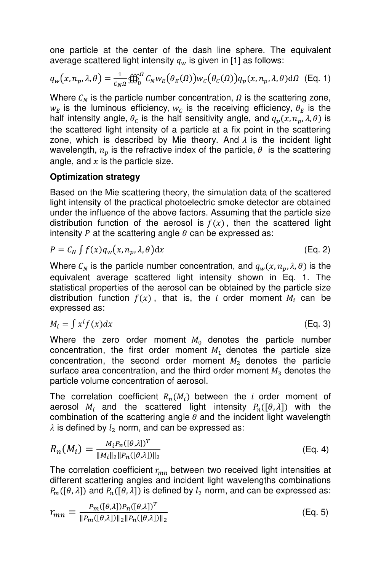one particle at the center of the dash line sphere. The equivalent average scattered light intensity  $q_w$  is given in [1] as follows:

$$
q_w(x, n_p, \lambda, \theta) = \frac{1}{c_N a} \iiint_0^a C_N w_E(\theta_E(\Omega)) w_C(\theta_C(\Omega)) q_p(x, n_p, \lambda, \theta) d\Omega
$$
 (Eq. 1)

Where  $C_N$  is the particle number concentration,  $\Omega$  is the scattering zone,  $w_E$  is the luminous efficiency,  $w_C$  is the receiving efficiency,  $\theta_E$  is the half intensity angle,  $\theta_c$  is the half sensitivity angle, and  $q_p(x, n_p, \lambda, \theta)$  is the scattered light intensity of a particle at a fix point in the scattering zone, which is described by Mie theory. And  $\lambda$  is the incident light wavelength,  $n_p$  is the refractive index of the particle,  $\theta$  is the scattering angle, and  $x$  is the particle size.

#### **Optimization strategy**

Based on the Mie scattering theory, the simulation data of the scattered light intensity of the practical photoelectric smoke detector are obtained under the influence of the above factors. Assuming that the particle size distribution function of the aerosol is  $f(x)$ , then the scattered light intensity P at the scattering angle  $\theta$  can be expressed as:

$$
P = C_N \int f(x) q_w(x, n_p, \lambda, \theta) dx
$$
 (Eq. 2)

Where  $C_N$  is the particle number concentration, and  $q_w(x, n_p, \lambda, \theta)$  is the equivalent average scattered light intensity shown in Eq. 1. The statistical properties of the aerosol can be obtained by the particle size distribution function  $f(x)$ , that is, the *i* order moment  $M_i$  can be expressed as:

$$
M_i = \int x^i f(x) dx
$$
 (Eq. 3)

Where the zero order moment  $M_0$  denotes the particle number concentration, the first order moment  $M_1$  denotes the particle size concentration, the second order moment  $M_2$  denotes the particle surface area concentration, and the third order moment  $M_3$  denotes the particle volume concentration of aerosol.

The correlation coefficient  $R_n(M_i)$  between the *i* order moment of aerosol  $M_i$  and the scattered light intensity  $P_n([\theta, \lambda])$  with the combination of the scattering angle  $\theta$  and the incident light wavelength  $\lambda$  is defined by  $l_2$  norm, and can be expressed as:

$$
R_n(M_i) = \frac{M_i P_n([\theta, \lambda])^T}{\|M_i\|_2 \|P_n([\theta, \lambda])\|_2}
$$
 (Eq. 4)

The correlation coefficient  $r_{mn}$  between two received light intensities at different scattering angles and incident light wavelengths combinations  $P_m([\theta,\lambda])$  and  $P_n([\theta,\lambda])$  is defined by  $l_2$  norm, and can be expressed as:

$$
r_{mn} = \frac{P_m([\theta, \lambda]) P_n([\theta, \lambda])^T}{\|P_m([\theta, \lambda])\|_2 \|P_n([\theta, \lambda])\|_2}
$$
(Eq. 5)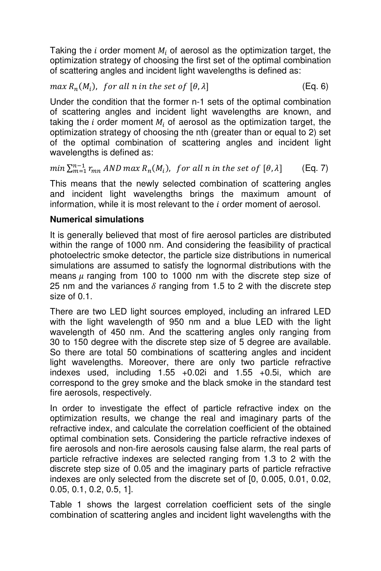Taking the *i* order moment  $M_i$  of aerosol as the optimization target, the optimization strategy of choosing the first set of the optimal combination of scattering angles and incident light wavelengths is defined as:

# $max R_n(M_i)$ , for all n in the set of  $[\theta, \lambda]$  (Eq. 6)

Under the condition that the former n-1 sets of the optimal combination of scattering angles and incident light wavelengths are known, and taking the i order moment  $M_i$  of aerosol as the optimization target, the optimization strategy of choosing the nth (greater than or equal to 2) set of the optimal combination of scattering angles and incident light wavelengths is defined as:

 $min \sum_{m=1}^{n-1} r_{mn}$  AND max  $R_n(M_i)$ , for all n in the set of  $[\theta, \lambda]$  (Eq. 7)

This means that the newly selected combination of scattering angles and incident light wavelengths brings the maximum amount of information, while it is most relevant to the  $i$  order moment of aerosol.

### **Numerical simulations**

It is generally believed that most of fire aerosol particles are distributed within the range of 1000 nm. And considering the feasibility of practical photoelectric smoke detector, the particle size distributions in numerical simulations are assumed to satisfy the lognormal distributions with the means  $\mu$  ranging from 100 to 1000 nm with the discrete step size of 25 nm and the variances  $\delta$  ranging from 1.5 to 2 with the discrete step size of 0.1.

There are two LED light sources employed, including an infrared LED with the light wavelength of 950 nm and a blue LED with the light wavelength of 450 nm. And the scattering angles only ranging from 30 to 150 degree with the discrete step size of 5 degree are available. So there are total 50 combinations of scattering angles and incident light wavelengths. Moreover, there are only two particle refractive indexes used, including 1.55 +0.02i and 1.55 +0.5i, which are correspond to the grey smoke and the black smoke in the standard test fire aerosols, respectively.

In order to investigate the effect of particle refractive index on the optimization results, we change the real and imaginary parts of the refractive index, and calculate the correlation coefficient of the obtained optimal combination sets. Considering the particle refractive indexes of fire aerosols and non-fire aerosols causing false alarm, the real parts of particle refractive indexes are selected ranging from 1.3 to 2 with the discrete step size of 0.05 and the imaginary parts of particle refractive indexes are only selected from the discrete set of [0, 0.005, 0.01, 0.02, 0.05, 0.1, 0.2, 0.5, 1].

Table 1 shows the largest correlation coefficient sets of the single combination of scattering angles and incident light wavelengths with the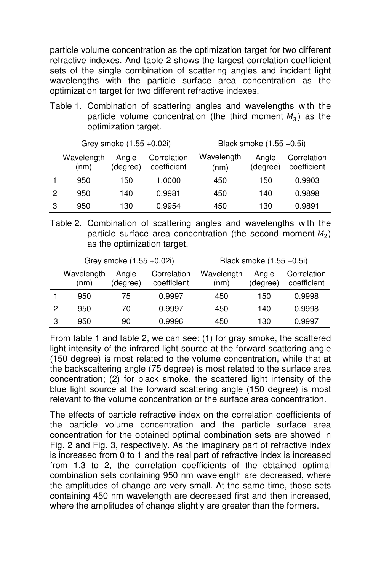particle volume concentration as the optimization target for two different refractive indexes. And table 2 shows the largest correlation coefficient sets of the single combination of scattering angles and incident light wavelengths with the particle surface area concentration as the optimization target for two different refractive indexes.

Table 1. Combination of scattering angles and wavelengths with the particle volume concentration (the third moment  $M_3$ ) as the optimization target.

|   |                    | Grey smoke (1.55 +0.02i) |                            | Black smoke (1.55 +0.5i) |                   |                            |
|---|--------------------|--------------------------|----------------------------|--------------------------|-------------------|----------------------------|
|   | Wavelength<br>(nm) | Angle<br>(degree)        | Correlation<br>coefficient | Wavelength<br>(nm)       | Angle<br>(degree) | Correlation<br>coefficient |
|   | 950                | 150                      | 1.0000                     | 450                      | 150               | 0.9903                     |
| 2 | 950                | 140                      | 0.9981                     | 450                      | 140               | 0.9898                     |
| 3 | 950                | 130                      | 0.9954                     | 450                      | 130               | 0.9891                     |

Table 2. Combination of scattering angles and wavelengths with the particle surface area concentration (the second moment  $M_2$ ) as the optimization target.

|   |                    | Grey smoke (1.55 +0.02i) |                            | Black smoke (1.55 +0.5i) |                   |                            |
|---|--------------------|--------------------------|----------------------------|--------------------------|-------------------|----------------------------|
|   | Wavelength<br>(nm) | Angle<br>(degree)        | Correlation<br>coefficient | Wavelength<br>(nm)       | Angle<br>(degree) | Correlation<br>coefficient |
|   | 950                | 75                       | 0.9997                     | 450                      | 150               | 0.9998                     |
| 2 | 950                | 70                       | 0.9997                     | 450                      | 140               | 0.9998                     |
| З | 950                | 90                       | 0.9996                     | 450                      | 130               | 0.9997                     |

From table 1 and table 2, we can see: (1) for gray smoke, the scattered light intensity of the infrared light source at the forward scattering angle (150 degree) is most related to the volume concentration, while that at the backscattering angle (75 degree) is most related to the surface area concentration; (2) for black smoke, the scattered light intensity of the blue light source at the forward scattering angle (150 degree) is most relevant to the volume concentration or the surface area concentration.

The effects of particle refractive index on the correlation coefficients of the particle volume concentration and the particle surface area concentration for the obtained optimal combination sets are showed in Fig. 2 and Fig. 3, respectively. As the imaginary part of refractive index is increased from 0 to 1 and the real part of refractive index is increased from 1.3 to 2, the correlation coefficients of the obtained optimal combination sets containing 950 nm wavelength are decreased, where the amplitudes of change are very small. At the same time, those sets containing 450 nm wavelength are decreased first and then increased, where the amplitudes of change slightly are greater than the formers.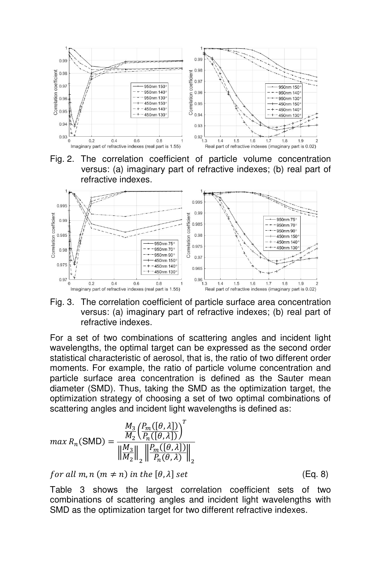

Fig. 2. The correlation coefficient of particle volume concentration versus: (a) imaginary part of refractive indexes; (b) real part of refractive indexes.



Fig. 3. The correlation coefficient of particle surface area concentration versus: (a) imaginary part of refractive indexes; (b) real part of refractive indexes.

For a set of two combinations of scattering angles and incident light wavelengths, the optimal target can be expressed as the second order statistical characteristic of aerosol, that is, the ratio of two different order moments. For example, the ratio of particle volume concentration and particle surface area concentration is defined as the Sauter mean diameter (SMD). Thus, taking the SMD as the optimization target, the optimization strategy of choosing a set of two optimal combinations of scattering angles and incident light wavelengths is defined as:

$$
max R_n(SMD) = \frac{\frac{M_3}{M_2} \left( \frac{P_m([0, \lambda])}{P_n([0, \lambda])} \right)^T}{\left\| \frac{M_3}{M_2} \right\|_2 \left\| \frac{P_m([0, \lambda])}{P_n(\theta, \lambda)} \right\|_2}
$$

for all  $m, n (m \neq n)$  in the  $[\theta, \lambda]$  set (Eq. 8)

Table 3 shows the largest correlation coefficient sets of two combinations of scattering angles and incident light wavelengths with SMD as the optimization target for two different refractive indexes.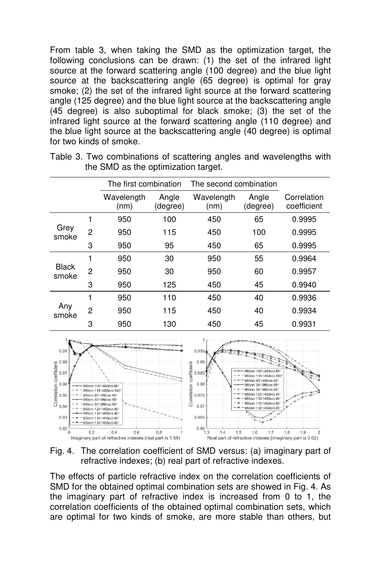From table 3, when taking the SMD as the optimization target, the following conclusions can be drawn: (1) the set of the infrared light source at the forward scattering angle (100 degree) and the blue light source at the backscattering angle (65 degree) is optimal for gray smoke; (2) the set of the infrared light source at the forward scattering angle (125 degree) and the blue light source at the backscattering angle (45 degree) is also suboptimal for black smoke; (3) the set of the infrared light source at the forward scattering angle (110 degree) and the blue light source at the backscattering angle (40 degree) is optimal for two kinds of smoke.

|                       |                | The first combination |                   | The second combination |                   |                            |
|-----------------------|----------------|-----------------------|-------------------|------------------------|-------------------|----------------------------|
|                       |                | Wavelength<br>(nm)    | Angle<br>(degree) | Wavelength<br>(nm)     | Angle<br>(degree) | Correlation<br>coefficient |
|                       |                | 950                   | 100               | 450                    | 65                | 0.9995                     |
| Grey<br>smoke         | $\mathfrak{p}$ | 950                   | 115               | 450                    | 100               | 0.9995                     |
|                       | 3              | 950                   | 95                | 450                    | 65                | 0.9995                     |
|                       | 1              | 950                   | 30                | 950                    | 55                | 0.9964                     |
| <b>Black</b><br>smoke | $\overline{2}$ | 950                   | 30                | 950                    | 60                | 0.9957                     |
|                       | 3              | 950                   | 125               | 450                    | 45                | 0.9940                     |
|                       | 1              | 950                   | 110               | 450                    | 40                | 0.9936                     |
| Any<br>smoke          | $\overline{c}$ | 950                   | 115               | 450                    | 40                | 0.9934                     |
|                       | 3              | 950                   | 130               | 450                    | 45                | 0.9931                     |

Table 3. Two combinations of scattering angles and wavelengths with the SMD as the optimization target.



Fig. 4. The correlation coefficient of SMD versus: (a) imaginary part of refractive indexes; (b) real part of refractive indexes.

The effects of particle refractive index on the correlation coefficients of SMD for the obtained optimal combination sets are showed in Fig. 4. As the imaginary part of refractive index is increased from 0 to 1, the correlation coefficients of the obtained optimal combination sets, which are optimal for two kinds of smoke, are more stable than others, but